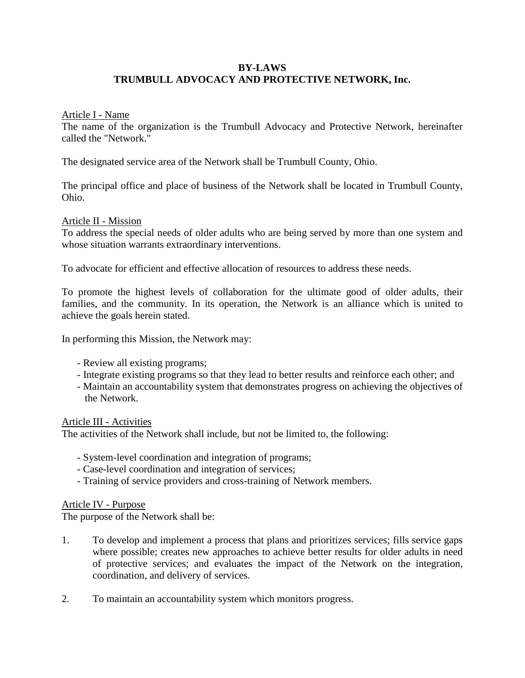# **BY-LAWS TRUMBULL ADVOCACY AND PROTECTIVE NETWORK, Inc.**

### Article I - Name

The name of the organization is the Trumbull Advocacy and Protective Network, hereinafter called the "Network."

The designated service area of the Network shall be Trumbull County, Ohio.

The principal office and place of business of the Network shall be located in Trumbull County, Ohio.

### Article II - Mission

To address the special needs of older adults who are being served by more than one system and whose situation warrants extraordinary interventions.

To advocate for efficient and effective allocation of resources to address these needs.

To promote the highest levels of collaboration for the ultimate good of older adults, their families, and the community. In its operation, the Network is an alliance which is united to achieve the goals herein stated.

In performing this Mission, the Network may:

- Review all existing programs;
- Integrate existing programs so that they lead to better results and reinforce each other; and
- Maintain an accountability system that demonstrates progress on achieving the objectives of the Network.

### Article III - Activities

The activities of the Network shall include, but not be limited to, the following:

- System-level coordination and integration of programs;
- Case-level coordination and integration of services;
- Training of service providers and cross-training of Network members.

### Article IV - Purpose

The purpose of the Network shall be:

- 1. To develop and implement a process that plans and prioritizes services; fills service gaps where possible; creates new approaches to achieve better results for older adults in need of protective services; and evaluates the impact of the Network on the integration, coordination, and delivery of services.
- 2. To maintain an accountability system which monitors progress.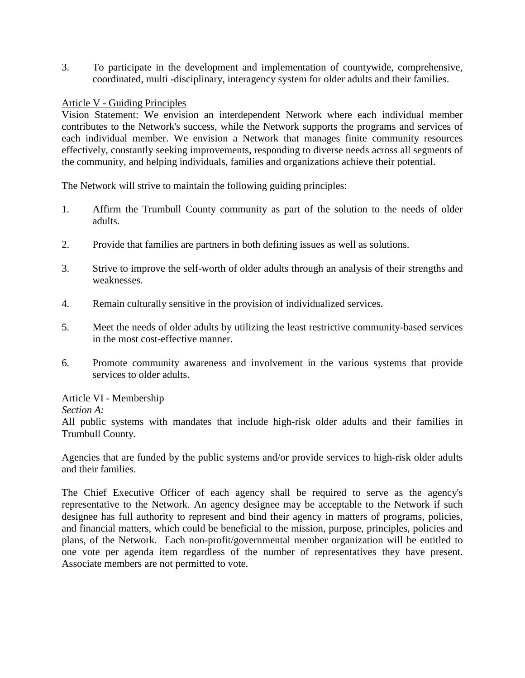3. To participate in the development and implementation of countywide, comprehensive, coordinated, multi -disciplinary, interagency system for older adults and their families.

### Article V - Guiding Principles

Vision Statement: We envision an interdependent Network where each individual member contributes to the Network's success, while the Network supports the programs and services of each individual member. We envision a Network that manages finite community resources effectively, constantly seeking improvements, responding to diverse needs across all segments of the community, and helping individuals, families and organizations achieve their potential.

The Network will strive to maintain the following guiding principles:

- 1. Affirm the Trumbull County community as part of the solution to the needs of older adults.
- 2. Provide that families are partners in both defining issues as well as solutions.
- 3. Strive to improve the self-worth of older adults through an analysis of their strengths and weaknesses.
- 4. Remain culturally sensitive in the provision of individualized services.
- 5. Meet the needs of older adults by utilizing the least restrictive community-based services in the most cost-effective manner.
- 6. Promote community awareness and involvement in the various systems that provide services to older adults.

### Article VI - Membership

### *Section A:*

All public systems with mandates that include high-risk older adults and their families in Trumbull County.

Agencies that are funded by the public systems and/or provide services to high-risk older adults and their families.

The Chief Executive Officer of each agency shall be required to serve as the agency's representative to the Network. An agency designee may be acceptable to the Network if such designee has full authority to represent and bind their agency in matters of programs, policies, and financial matters, which could be beneficial to the mission, purpose, principles, policies and plans, of the Network. Each non-profit/governmental member organization will be entitled to one vote per agenda item regardless of the number of representatives they have present. Associate members are not permitted to vote.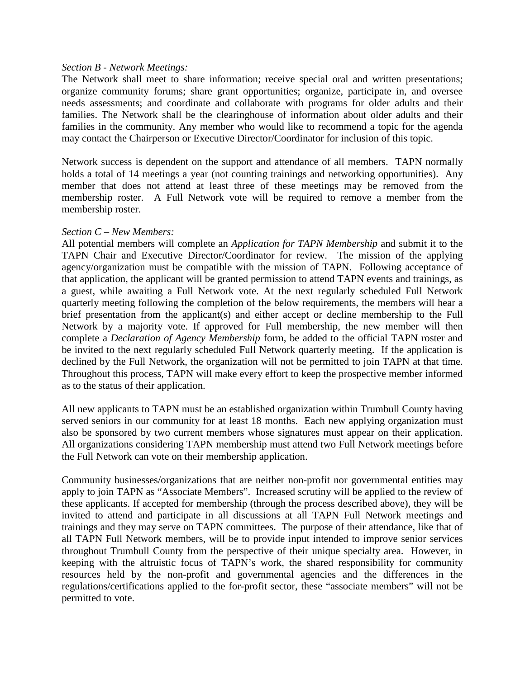#### *Section B - Network Meetings:*

The Network shall meet to share information; receive special oral and written presentations; organize community forums; share grant opportunities; organize, participate in, and oversee needs assessments; and coordinate and collaborate with programs for older adults and their families. The Network shall be the clearinghouse of information about older adults and their families in the community. Any member who would like to recommend a topic for the agenda may contact the Chairperson or Executive Director/Coordinator for inclusion of this topic.

Network success is dependent on the support and attendance of all members. TAPN normally holds a total of 14 meetings a year (not counting trainings and networking opportunities). Any member that does not attend at least three of these meetings may be removed from the membership roster. A Full Network vote will be required to remove a member from the membership roster.

#### *Section C – New Members:*

All potential members will complete an *Application for TAPN Membership* and submit it to the TAPN Chair and Executive Director/Coordinator for review. The mission of the applying agency/organization must be compatible with the mission of TAPN. Following acceptance of that application, the applicant will be granted permission to attend TAPN events and trainings, as a guest, while awaiting a Full Network vote. At the next regularly scheduled Full Network quarterly meeting following the completion of the below requirements, the members will hear a brief presentation from the applicant(s) and either accept or decline membership to the Full Network by a majority vote. If approved for Full membership, the new member will then complete a *Declaration of Agency Membership* form, be added to the official TAPN roster and be invited to the next regularly scheduled Full Network quarterly meeting. If the application is declined by the Full Network, the organization will not be permitted to join TAPN at that time. Throughout this process, TAPN will make every effort to keep the prospective member informed as to the status of their application.

All new applicants to TAPN must be an established organization within Trumbull County having served seniors in our community for at least 18 months. Each new applying organization must also be sponsored by two current members whose signatures must appear on their application. All organizations considering TAPN membership must attend two Full Network meetings before the Full Network can vote on their membership application.

Community businesses/organizations that are neither non-profit nor governmental entities may apply to join TAPN as "Associate Members". Increased scrutiny will be applied to the review of these applicants. If accepted for membership (through the process described above), they will be invited to attend and participate in all discussions at all TAPN Full Network meetings and trainings and they may serve on TAPN committees. The purpose of their attendance, like that of all TAPN Full Network members, will be to provide input intended to improve senior services throughout Trumbull County from the perspective of their unique specialty area. However, in keeping with the altruistic focus of TAPN's work, the shared responsibility for community resources held by the non-profit and governmental agencies and the differences in the regulations/certifications applied to the for-profit sector, these "associate members" will not be permitted to vote.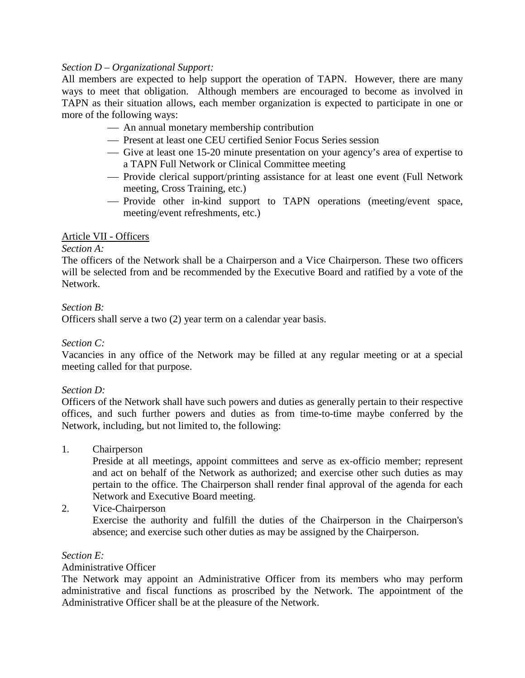# *Section D – Organizational Support:*

All members are expected to help support the operation of TAPN. However, there are many ways to meet that obligation. Although members are encouraged to become as involved in TAPN as their situation allows, each member organization is expected to participate in one or more of the following ways:

- An annual monetary membership contribution
- Present at least one CEU certified Senior Focus Series session
- Give at least one 15-20 minute presentation on your agency's area of expertise to a TAPN Full Network or Clinical Committee meeting
- Provide clerical support/printing assistance for at least one event (Full Network meeting, Cross Training, etc.)
- Provide other in-kind support to TAPN operations (meeting/event space, meeting/event refreshments, etc.)

# Article VII - Officers

### *Section A:*

The officers of the Network shall be a Chairperson and a Vice Chairperson. These two officers will be selected from and be recommended by the Executive Board and ratified by a vote of the Network.

# *Section B:*

Officers shall serve a two (2) year term on a calendar year basis.

### *Section C:*

Vacancies in any office of the Network may be filled at any regular meeting or at a special meeting called for that purpose.

### *Section D:*

Officers of the Network shall have such powers and duties as generally pertain to their respective offices, and such further powers and duties as from time-to-time maybe conferred by the Network, including, but not limited to, the following:

### 1. Chairperson

Preside at all meetings, appoint committees and serve as ex-officio member; represent and act on behalf of the Network as authorized; and exercise other such duties as may pertain to the office. The Chairperson shall render final approval of the agenda for each Network and Executive Board meeting.

# 2. Vice-Chairperson

Exercise the authority and fulfill the duties of the Chairperson in the Chairperson's absence; and exercise such other duties as may be assigned by the Chairperson.

### *Section E:*

### Administrative Officer

The Network may appoint an Administrative Officer from its members who may perform administrative and fiscal functions as proscribed by the Network. The appointment of the Administrative Officer shall be at the pleasure of the Network.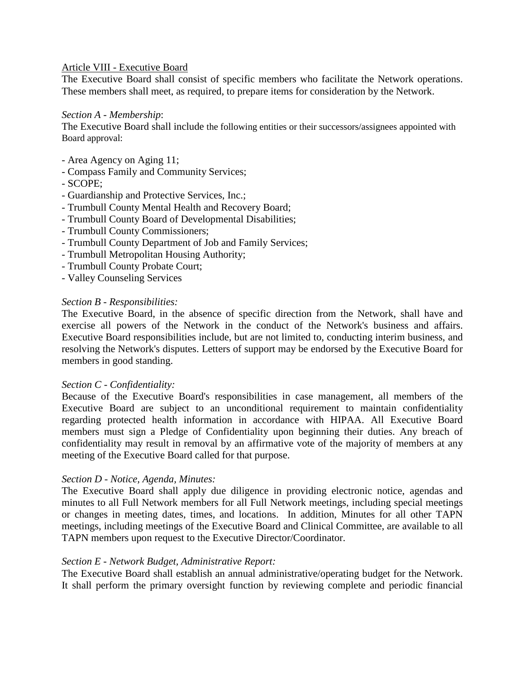### Article VIII - Executive Board

The Executive Board shall consist of specific members who facilitate the Network operations. These members shall meet, as required, to prepare items for consideration by the Network.

#### *Section A - Membership*:

The Executive Board shall include the following entities or their successors/assignees appointed with Board approval:

- Area Agency on Aging 11;
- Compass Family and Community Services;
- SCOPE;
- Guardianship and Protective Services, Inc.;
- Trumbull County Mental Health and Recovery Board;
- Trumbull County Board of Developmental Disabilities;
- Trumbull County Commissioners;
- Trumbull County Department of Job and Family Services;
- Trumbull Metropolitan Housing Authority;
- Trumbull County Probate Court;
- Valley Counseling Services

#### *Section B - Responsibilities:*

The Executive Board, in the absence of specific direction from the Network, shall have and exercise all powers of the Network in the conduct of the Network's business and affairs. Executive Board responsibilities include, but are not limited to, conducting interim business, and resolving the Network's disputes. Letters of support may be endorsed by the Executive Board for members in good standing.

#### *Section C - Confidentiality:*

Because of the Executive Board's responsibilities in case management, all members of the Executive Board are subject to an unconditional requirement to maintain confidentiality regarding protected health information in accordance with HIPAA. All Executive Board members must sign a Pledge of Confidentiality upon beginning their duties. Any breach of confidentiality may result in removal by an affirmative vote of the majority of members at any meeting of the Executive Board called for that purpose.

#### *Section D - Notice, Agenda, Minutes:*

The Executive Board shall apply due diligence in providing electronic notice, agendas and minutes to all Full Network members for all Full Network meetings, including special meetings or changes in meeting dates, times, and locations. In addition, Minutes for all other TAPN meetings, including meetings of the Executive Board and Clinical Committee, are available to all TAPN members upon request to the Executive Director/Coordinator.

### *Section E - Network Budget, Administrative Report:*

The Executive Board shall establish an annual administrative/operating budget for the Network. It shall perform the primary oversight function by reviewing complete and periodic financial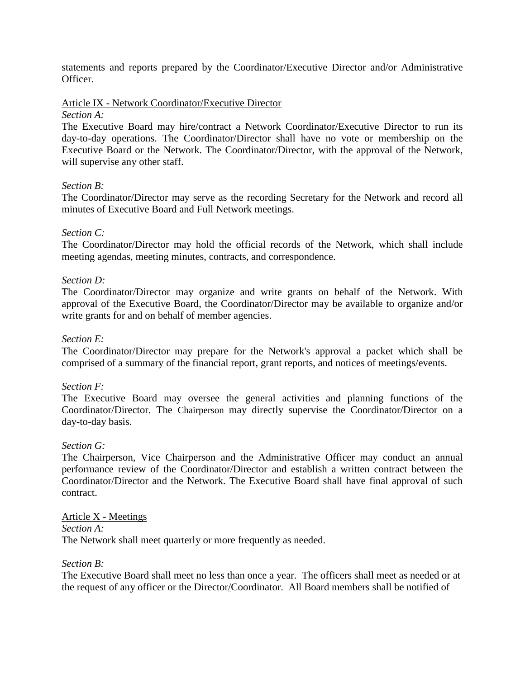statements and reports prepared by the Coordinator/Executive Director and/or Administrative Officer.

Article IX - Network Coordinator/Executive Director

### *Section A:*

The Executive Board may hire/contract a Network Coordinator/Executive Director to run its day-to-day operations. The Coordinator/Director shall have no vote or membership on the Executive Board or the Network. The Coordinator/Director, with the approval of the Network, will supervise any other staff.

# *Section B:*

The Coordinator/Director may serve as the recording Secretary for the Network and record all minutes of Executive Board and Full Network meetings.

# *Section C:*

The Coordinator/Director may hold the official records of the Network, which shall include meeting agendas, meeting minutes, contracts, and correspondence.

# *Section D:*

The Coordinator/Director may organize and write grants on behalf of the Network. With approval of the Executive Board, the Coordinator/Director may be available to organize and/or write grants for and on behalf of member agencies.

### *Section E:*

The Coordinator/Director may prepare for the Network's approval a packet which shall be comprised of a summary of the financial report, grant reports, and notices of meetings/events.

### *Section F:*

The Executive Board may oversee the general activities and planning functions of the Coordinator/Director. The Chairperson may directly supervise the Coordinator/Director on a day-to-day basis.

### *Section G:*

The Chairperson, Vice Chairperson and the Administrative Officer may conduct an annual performance review of the Coordinator/Director and establish a written contract between the Coordinator/Director and the Network. The Executive Board shall have final approval of such contract.

### Article X - Meetings

### *Section A:*

The Network shall meet quarterly or more frequently as needed.

### *Section B:*

The Executive Board shall meet no less than once a year. The officers shall meet as needed or at the request of any officer or the Director/Coordinator. All Board members shall be notified of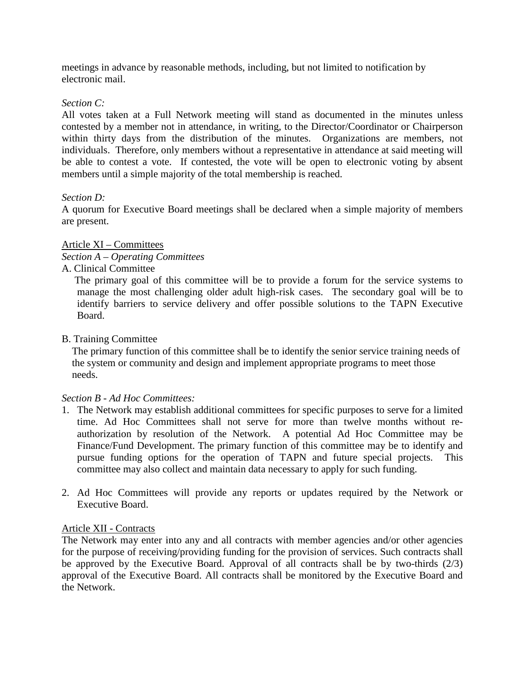meetings in advance by reasonable methods, including, but not limited to notification by electronic mail.

# *Section C:*

All votes taken at a Full Network meeting will stand as documented in the minutes unless contested by a member not in attendance, in writing, to the Director/Coordinator or Chairperson within thirty days from the distribution of the minutes. Organizations are members, not individuals. Therefore, only members without a representative in attendance at said meeting will be able to contest a vote. If contested, the vote will be open to electronic voting by absent members until a simple majority of the total membership is reached.

# *Section D:*

A quorum for Executive Board meetings shall be declared when a simple majority of members are present.

# Article XI – Committees

# *Section A – Operating Committees*

# A. Clinical Committee

 The primary goal of this committee will be to provide a forum for the service systems to manage the most challenging older adult high-risk cases. The secondary goal will be to identify barriers to service delivery and offer possible solutions to the TAPN Executive Board.

### B. Training Committee

The primary function of this committee shall be to identify the senior service training needs of the system or community and design and implement appropriate programs to meet those needs.

### *Section B - Ad Hoc Committees:*

- 1. The Network may establish additional committees for specific purposes to serve for a limited time. Ad Hoc Committees shall not serve for more than twelve months without reauthorization by resolution of the Network. A potential Ad Hoc Committee may be Finance/Fund Development. The primary function of this committee may be to identify and pursue funding options for the operation of TAPN and future special projects. This committee may also collect and maintain data necessary to apply for such funding.
- 2. Ad Hoc Committees will provide any reports or updates required by the Network or Executive Board.

### Article XII - Contracts

The Network may enter into any and all contracts with member agencies and/or other agencies for the purpose of receiving/providing funding for the provision of services. Such contracts shall be approved by the Executive Board. Approval of all contracts shall be by two-thirds (2/3) approval of the Executive Board. All contracts shall be monitored by the Executive Board and the Network.